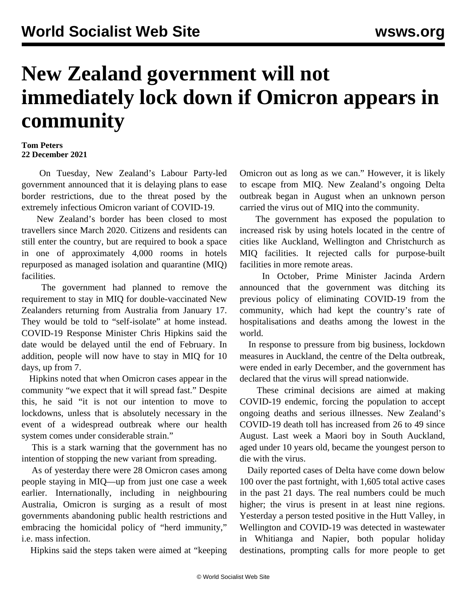## **New Zealand government will not immediately lock down if Omicron appears in community**

## **Tom Peters 22 December 2021**

 On Tuesday, New Zealand's Labour Party-led government announced that it is delaying plans to ease border restrictions, due to the threat posed by the extremely infectious Omicron variant of COVID-19.

 New Zealand's border has been closed to most travellers since March 2020. Citizens and residents can still enter the country, but are required to book a space in one of approximately 4,000 rooms in hotels repurposed as managed isolation and quarantine (MIQ) facilities.

 The government had planned to remove the requirement to stay in MIQ for double-vaccinated New Zealanders returning from Australia from January 17. They would be told to "self-isolate" at home instead. COVID-19 Response Minister Chris Hipkins said the date would be delayed until the end of February. In addition, people will now have to stay in MIQ for 10 days, up from 7.

 Hipkins noted that when Omicron cases appear in the community "we expect that it will spread fast." Despite this, he said "it is not our intention to move to lockdowns, unless that is absolutely necessary in the event of a widespread outbreak where our health system comes under considerable strain."

 This is a stark warning that the government has no intention of stopping the new variant from spreading.

 As of yesterday there were 28 Omicron cases among people staying in MIQ—up from just one case a week earlier. Internationally, including in neighbouring [Australia](/en/articles/2021/12/22/auc1-d22.html), Omicron is surging as a result of most governments abandoning public health restrictions and embracing the homicidal policy of "herd immunity," i.e. mass infection.

Hipkins said the steps taken were aimed at "keeping

Omicron out as long as we can." However, it is likely to escape from MIQ. New Zealand's ongoing Delta outbreak began in August when an unknown person carried the virus out of MIQ into the community.

 The government has exposed the population to increased risk by using hotels located in the centre of cities like Auckland, Wellington and Christchurch as MIQ facilities. It rejected calls for purpose-built facilities in more remote areas.

 In October, Prime Minister Jacinda Ardern announced that the government was ditching its previous policy of eliminating COVID-19 from the community, which had kept the country's rate of hospitalisations and deaths among the lowest in the world.

 In response to pressure from big business, lockdown measures in Auckland, the centre of the Delta outbreak, were ended in early December, and the government has declared that the virus will spread nationwide.

 These criminal decisions are aimed at making COVID-19 endemic, forcing the population to accept ongoing deaths and serious illnesses. New Zealand's COVID-19 death toll has increased from 26 to 49 since August. Last week a Maori boy in South Auckland, aged under 10 years old, became the youngest person to die with the virus.

 Daily reported cases of Delta have come down below 100 over the past fortnight, with 1,605 total active cases in the past 21 days. The real numbers could be much higher; the virus is present in at least nine regions. Yesterday a person tested positive in the Hutt Valley, in Wellington and COVID-19 was detected in wastewater in Whitianga and Napier, both popular holiday destinations, prompting calls for more people to get